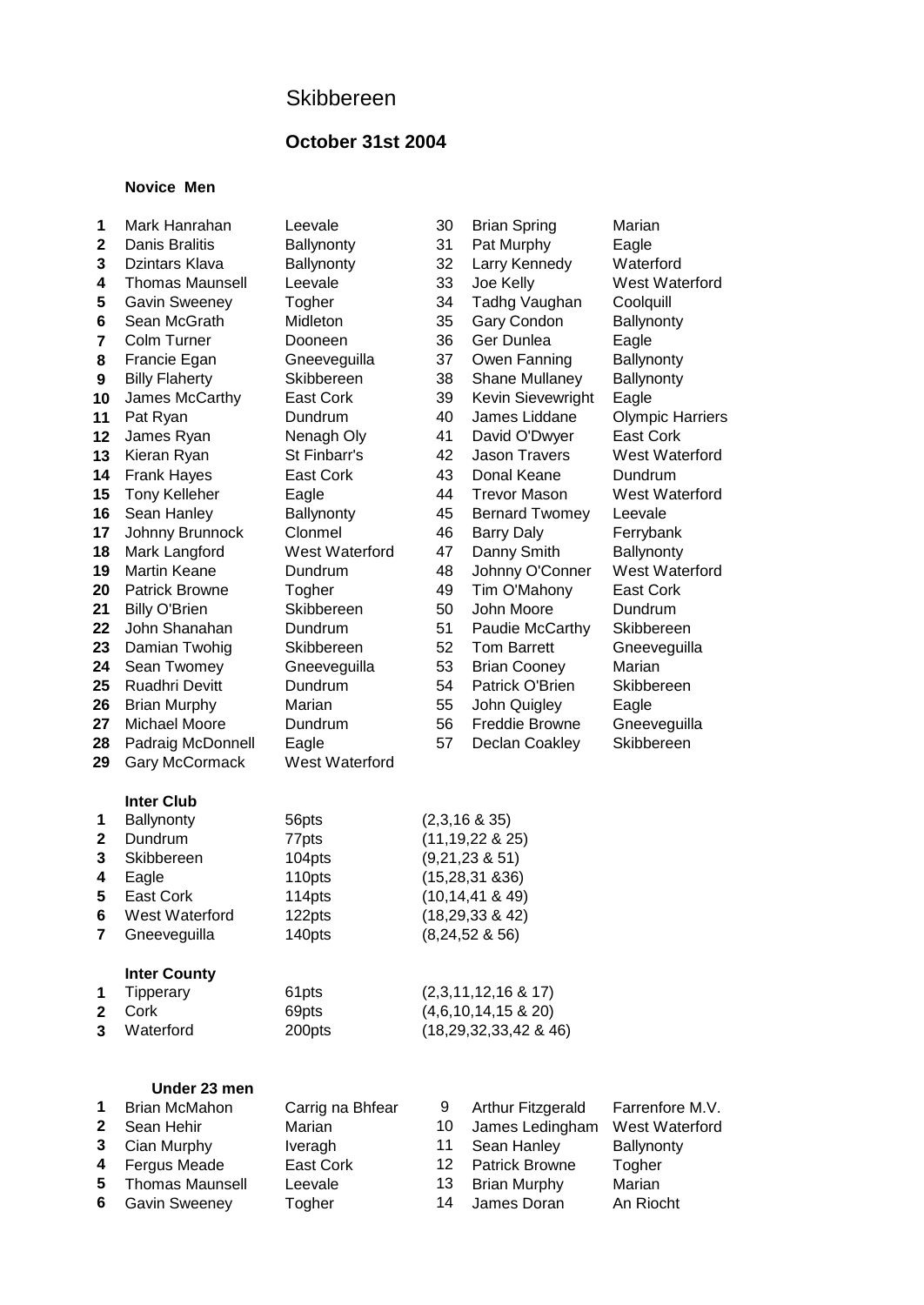## Skibbereen

## **October 31st 2004**

## **Novice Men**

| 1<br>2<br>3<br>4<br>5<br>6<br>7<br>8<br>9<br>10<br>11<br>12<br>13<br>14<br>15<br>16<br>17<br>18<br>19<br>20<br>21<br>22<br>23<br>24<br>25<br>26<br>27<br>28<br>29 | Mark Hanrahan<br><b>Danis Bralitis</b><br>Dzintars Klava<br><b>Thomas Maunsell</b><br>Gavin Sweeney<br>Sean McGrath<br>Colm Turner<br>Francie Egan<br><b>Billy Flaherty</b><br>James McCarthy<br>Pat Ryan<br>James Ryan<br>Kieran Ryan<br><b>Frank Hayes</b><br><b>Tony Kelleher</b><br>Sean Hanley<br>Johnny Brunnock<br>Mark Langford<br><b>Martin Keane</b><br><b>Patrick Browne</b><br><b>Billy O'Brien</b><br>John Shanahan<br>Damian Twohig<br>Sean Twomey<br><b>Ruadhri Devitt</b><br><b>Brian Murphy</b><br>Michael Moore<br>Padraig McDonnell<br><b>Gary McCormack</b> | Leevale<br>Ballynonty<br>Ballynonty<br>Leevale<br>Togher<br><b>Midleton</b><br>Dooneen<br>Gneeveguilla<br>Skibbereen<br><b>East Cork</b><br>Dundrum<br>Nenagh Oly<br>St Finbarr's<br><b>East Cork</b><br>Eagle<br>Ballynonty<br>Clonmel<br>West Waterford<br>Dundrum<br>Togher<br>Skibbereen<br>Dundrum<br>Skibbereen<br>Gneeveguilla<br>Dundrum<br>Marian<br>Dundrum<br>Eagle<br>West Waterford | 30<br>31<br>32<br>33<br>34<br>35<br>36<br>37<br>38<br>39<br>40<br>41<br>42<br>43<br>44<br>45<br>46<br>47<br>48<br>49<br>50<br>51<br>52<br>53<br>54<br>55<br>56<br>57 | <b>Brian Spring</b><br>Pat Murphy<br>Larry Kennedy<br>Joe Kelly<br>Tadhg Vaughan<br>Gary Condon<br>Ger Dunlea<br>Owen Fanning<br><b>Shane Mullaney</b><br>Kevin Sievewright<br>James Liddane<br>David O'Dwyer<br><b>Jason Travers</b><br>Donal Keane<br><b>Trevor Mason</b><br><b>Bernard Twomey</b><br><b>Barry Daly</b><br>Danny Smith<br>Johnny O'Conner<br>Tim O'Mahony<br>John Moore<br>Paudie McCarthy<br><b>Tom Barrett</b><br><b>Brian Cooney</b><br>Patrick O'Brien<br>John Quigley<br>Freddie Browne<br>Declan Coakley | Marian<br>Eagle<br>Waterford<br>West Waterford<br>Coolquill<br>Ballynonty<br>Eagle<br>Ballynonty<br>Ballynonty<br>Eagle<br><b>Olympic Harriers</b><br>East Cork<br>West Waterford<br>Dundrum<br>West Waterford<br>Leevale<br>Ferrybank<br>Ballynonty<br>West Waterford<br>East Cork<br>Dundrum<br>Skibbereen<br>Gneeveguilla<br>Marian<br>Skibbereen<br>Eagle<br>Gneeveguilla<br>Skibbereen |
|-------------------------------------------------------------------------------------------------------------------------------------------------------------------|---------------------------------------------------------------------------------------------------------------------------------------------------------------------------------------------------------------------------------------------------------------------------------------------------------------------------------------------------------------------------------------------------------------------------------------------------------------------------------------------------------------------------------------------------------------------------------|--------------------------------------------------------------------------------------------------------------------------------------------------------------------------------------------------------------------------------------------------------------------------------------------------------------------------------------------------------------------------------------------------|----------------------------------------------------------------------------------------------------------------------------------------------------------------------|----------------------------------------------------------------------------------------------------------------------------------------------------------------------------------------------------------------------------------------------------------------------------------------------------------------------------------------------------------------------------------------------------------------------------------------------------------------------------------------------------------------------------------|---------------------------------------------------------------------------------------------------------------------------------------------------------------------------------------------------------------------------------------------------------------------------------------------------------------------------------------------------------------------------------------------|
| 1<br>2<br>3<br>4<br>5<br>6<br>7<br>1<br>2<br>3                                                                                                                    | <b>Inter Club</b><br><b>Ballynonty</b><br>Dundrum<br>Skibbereen<br>Eagle<br><b>East Cork</b><br>West Waterford<br>Gneeveguilla<br><b>Inter County</b><br>Tipperary<br>Cork<br>Waterford                                                                                                                                                                                                                                                                                                                                                                                         | 56pts<br>77pts<br>104pts<br>110pts<br>114pts<br>122pts<br>140pts<br>61pts<br>69pts<br>200pts                                                                                                                                                                                                                                                                                                     |                                                                                                                                                                      | $(2,3,16 \& 35)$<br>$(11, 19, 22 \& 25)$<br>(9,21,23 & 51)<br>(15, 28, 31, 836)<br>$(10, 14, 41 \& 49)$<br>(18, 29, 33 & 42)<br>$(8,24,52 \& 56)$<br>$(2,3,11,12,16$ & 17)<br>(4,6,10,14,15 & 20)<br>(18, 29, 32, 33, 42, 8, 46)                                                                                                                                                                                                                                                                                                 |                                                                                                                                                                                                                                                                                                                                                                                             |
| 1<br>2<br>3<br>4<br>5<br>6                                                                                                                                        | Under 23 men<br><b>Brian McMahon</b><br>Sean Hehir<br>Cian Murphy<br>Fergus Meade<br><b>Thomas Maunsell</b><br>Gavin Sweeney                                                                                                                                                                                                                                                                                                                                                                                                                                                    | Carrig na Bhfear<br>Marian<br>Iveragh<br><b>East Cork</b><br>Leevale<br>Togher                                                                                                                                                                                                                                                                                                                   | 9<br>10<br>11<br>12<br>13<br>14                                                                                                                                      | <b>Arthur Fitzgerald</b><br>James Ledingham<br>Sean Hanley<br><b>Patrick Browne</b><br><b>Brian Murphy</b><br>James Doran                                                                                                                                                                                                                                                                                                                                                                                                        | Farrenfore M.V.<br>West Waterford<br>Ballynonty<br>Togher<br>Marian<br>An Riocht                                                                                                                                                                                                                                                                                                            |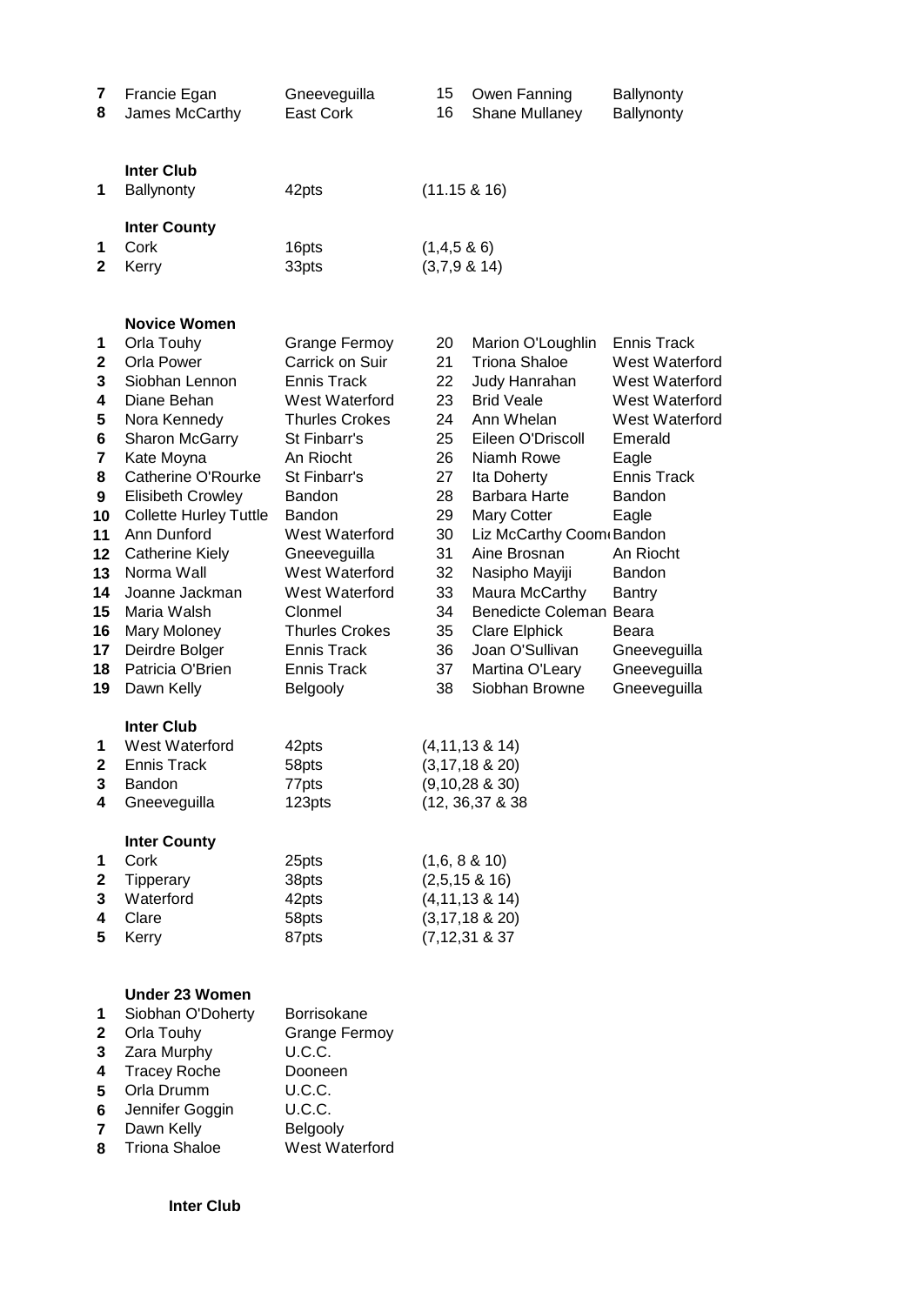| 7<br>8                                                                                                           | Francie Egan<br>James McCarthy                                                                                                                                                                                                                                                                                                                                                         | Gneeveguilla<br><b>East Cork</b>                                                                                                                                                                                                                                                                                                                   | 15<br>16                                                                                                       | Owen Fanning<br>Shane Mullaney                                                                                                                                                                                                                                                                                                                                                    | Ballynonty<br>Ballynonty                                                                                                                                                                                                                          |
|------------------------------------------------------------------------------------------------------------------|----------------------------------------------------------------------------------------------------------------------------------------------------------------------------------------------------------------------------------------------------------------------------------------------------------------------------------------------------------------------------------------|----------------------------------------------------------------------------------------------------------------------------------------------------------------------------------------------------------------------------------------------------------------------------------------------------------------------------------------------------|----------------------------------------------------------------------------------------------------------------|-----------------------------------------------------------------------------------------------------------------------------------------------------------------------------------------------------------------------------------------------------------------------------------------------------------------------------------------------------------------------------------|---------------------------------------------------------------------------------------------------------------------------------------------------------------------------------------------------------------------------------------------------|
| 1<br>1<br>2                                                                                                      | <b>Inter Club</b><br>Ballynonty<br><b>Inter County</b><br>Cork<br>Kerry                                                                                                                                                                                                                                                                                                                | 42pts<br>16pts<br>33pts                                                                                                                                                                                                                                                                                                                            | (1,4,5,8,6)<br>(3,7,9,8,14)                                                                                    | (11.15 & 816)                                                                                                                                                                                                                                                                                                                                                                     |                                                                                                                                                                                                                                                   |
| 1<br>$\mathbf{2}$<br>3<br>4<br>5<br>6<br>7<br>8<br>9<br>10<br>11<br>12<br>13<br>14<br>15<br>16<br>17<br>18<br>19 | <b>Novice Women</b><br>Orla Touhy<br><b>Orla Power</b><br>Siobhan Lennon<br>Diane Behan<br>Nora Kennedy<br>Sharon McGarry<br>Kate Moyna<br>Catherine O'Rourke<br><b>Elisibeth Crowley</b><br><b>Collette Hurley Tuttle</b><br>Ann Dunford<br><b>Catherine Kiely</b><br>Norma Wall<br>Joanne Jackman<br>Maria Walsh<br>Mary Moloney<br>Deirdre Bolger<br>Patricia O'Brien<br>Dawn Kelly | <b>Grange Fermoy</b><br>Carrick on Suir<br><b>Ennis Track</b><br>West Waterford<br><b>Thurles Crokes</b><br>St Finbarr's<br>An Riocht<br>St Finbarr's<br>Bandon<br>Bandon<br>West Waterford<br>Gneeveguilla<br>West Waterford<br>West Waterford<br>Clonmel<br><b>Thurles Crokes</b><br><b>Ennis Track</b><br><b>Ennis Track</b><br><b>Belgooly</b> | 20<br>21<br>22<br>23<br>24<br>25<br>26<br>27<br>28<br>29<br>30<br>31<br>32<br>33<br>34<br>35<br>36<br>37<br>38 | Marion O'Loughlin<br><b>Triona Shaloe</b><br>Judy Hanrahan<br><b>Brid Veale</b><br>Ann Whelan<br>Eileen O'Driscoll<br>Niamh Rowe<br>Ita Doherty<br><b>Barbara Harte</b><br>Mary Cotter<br>Liz McCarthy Coom Bandon<br>Aine Brosnan<br>Nasipho Mayiji<br>Maura McCarthy<br>Benedicte Coleman Beara<br><b>Clare Elphick</b><br>Joan O'Sullivan<br>Martina O'Leary<br>Siobhan Browne | Ennis Track<br>West Waterford<br>West Waterford<br>West Waterford<br>West Waterford<br>Emerald<br>Eagle<br><b>Ennis Track</b><br>Bandon<br>Eagle<br>An Riocht<br>Bandon<br><b>Bantry</b><br>Beara<br>Gneeveguilla<br>Gneeveguilla<br>Gneeveguilla |
| 1<br>2<br>3<br>4                                                                                                 | <b>Inter Club</b><br>West Waterford<br><b>Ennis Track</b><br>Bandon<br>Gneeveguilla                                                                                                                                                                                                                                                                                                    | 42pts<br>58pts<br>77pts<br>123pts                                                                                                                                                                                                                                                                                                                  |                                                                                                                | (4, 11, 13 & 8 & 14)<br>(3, 17, 18 & 20)<br>(9, 10, 28, 8, 30)<br>(12, 36, 37, 8, 38)                                                                                                                                                                                                                                                                                             |                                                                                                                                                                                                                                                   |
| 1<br>2<br>3<br>4<br>5                                                                                            | <b>Inter County</b><br>Cork<br>Tipperary<br>Waterford<br>Clare<br>Kerry                                                                                                                                                                                                                                                                                                                | 25pts<br>38pts<br>42pts<br>58pts<br>87pts                                                                                                                                                                                                                                                                                                          |                                                                                                                | (1,6, 8 & 10)<br>(2,5,15,8,16)<br>(4, 11, 13 & 8 & 14)<br>(3, 17, 18 & 20)<br>(7, 12, 31, 8, 37)                                                                                                                                                                                                                                                                                  |                                                                                                                                                                                                                                                   |
| 1<br>2<br>3<br>4<br>5                                                                                            | <b>Under 23 Women</b><br>Siobhan O'Doherty<br>Orla Touhy<br>Zara Murphy<br><b>Tracey Roche</b><br>Orla Drumm                                                                                                                                                                                                                                                                           | <b>Borrisokane</b><br><b>Grange Fermoy</b><br>U.C.C.<br>Dooneen<br>U.C.C.                                                                                                                                                                                                                                                                          |                                                                                                                |                                                                                                                                                                                                                                                                                                                                                                                   |                                                                                                                                                                                                                                                   |

 Orla Drumm **6** Jennifer Goggin U.C.C.<br>**7** Dawn Kelly Belgooly

**7** Dawn Kelly<br>**8** Triona Shaloe Triona Shaloe West Waterford

 **Inter Club**